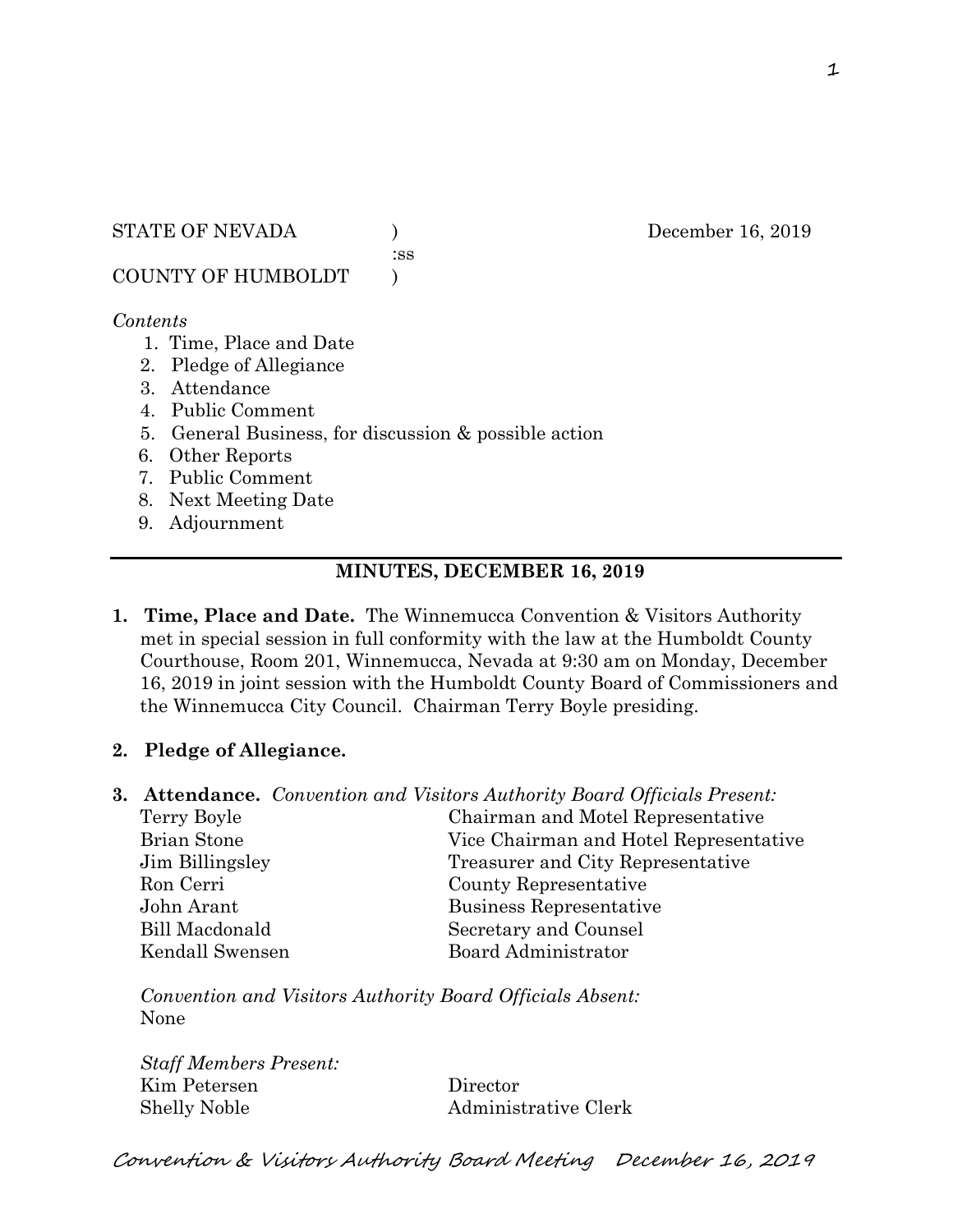STATE OF NEVADA (a) December 16, 2019

:ss

COUNTY OF HUMBOLDT )

### *Contents*

- 1. Time, Place and Date
- 2. Pledge of Allegiance
- 3. Attendance
- 4. Public Comment
- 5. General Business, for discussion & possible action
- 6. Other Reports
- 7. Public Comment
- 8. Next Meeting Date
- 9. Adjournment

## **MINUTES, DECEMBER 16, 2019**

**1. Time, Place and Date.** The Winnemucca Convention & Visitors Authority met in special session in full conformity with the law at the Humboldt County Courthouse, Room 201, Winnemucca, Nevada at 9:30 am on Monday, December 16, 2019 in joint session with the Humboldt County Board of Commissioners and the Winnemucca City Council. Chairman Terry Boyle presiding.

# **2. Pledge of Allegiance.**

|                    | <b>3. Attendance.</b> Convention and Visitors Authority Board Officials Present: |
|--------------------|----------------------------------------------------------------------------------|
| Terry Boyle        | Chairman and Motel Representative                                                |
| <b>Brian Stone</b> | Vice Chairman and Hotel Representative                                           |
| Jim Billingsley    | Treasurer and City Representative                                                |
| Ron Cerri          | County Representative                                                            |
| John Arant         | Business Representative                                                          |
| Bill Macdonald     | Secretary and Counsel                                                            |
| Kendall Swensen    | <b>Board Administrator</b>                                                       |

*Convention and Visitors Authority Board Officials Absent:* None

*Staff Members Present:* Kim Petersen Director Shelly Noble Administrative Clerk

Convention & Visitors Authority Board Meeting December 16, 2019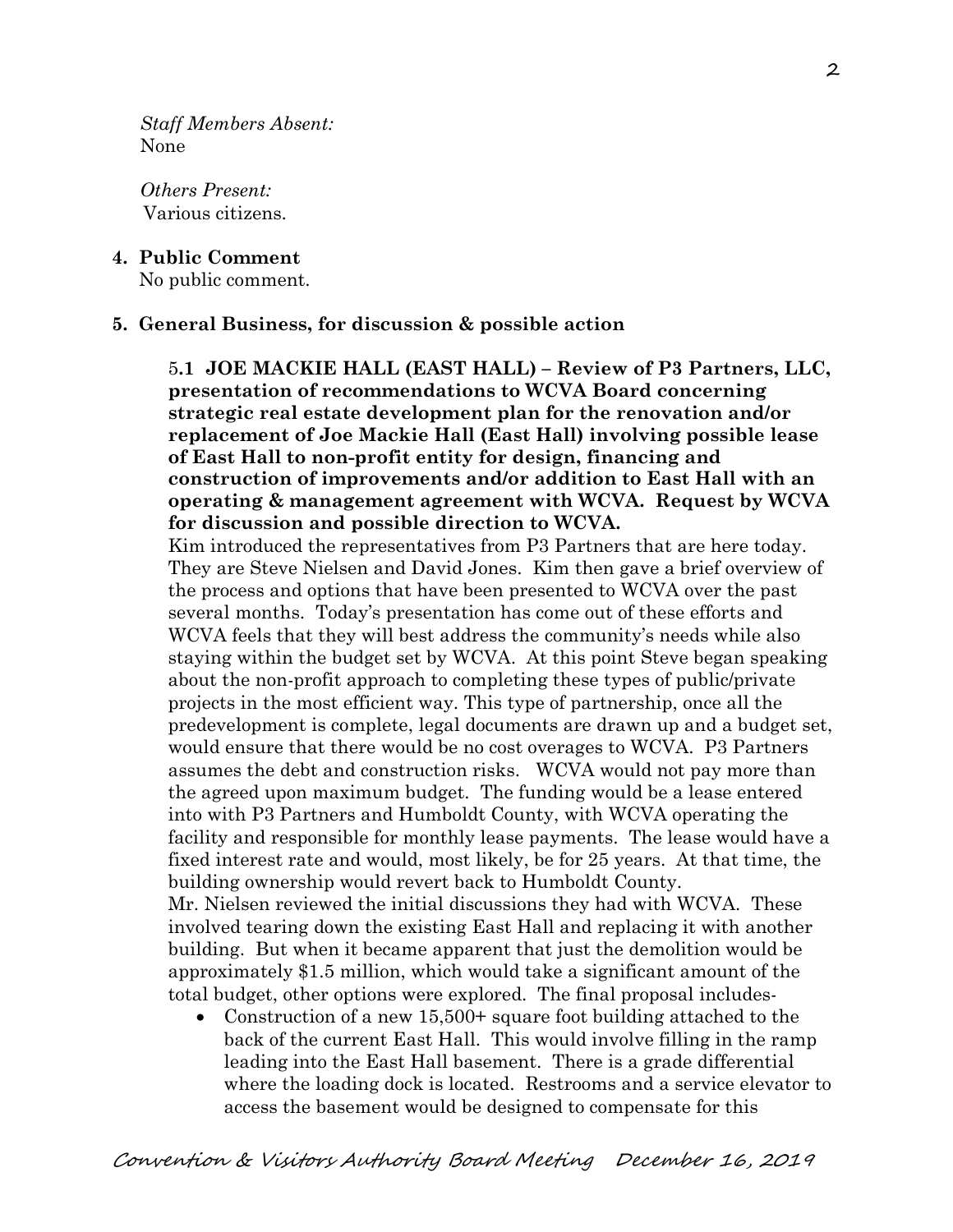*Staff Members Absent:* None

*Others Present:* Various citizens.

**4. Public Comment**

No public comment.

#### **5. General Business, for discussion & possible action**

5**.1 JOE MACKIE HALL (EAST HALL) – Review of P3 Partners, LLC, presentation of recommendations to WCVA Board concerning strategic real estate development plan for the renovation and/or replacement of Joe Mackie Hall (East Hall) involving possible lease of East Hall to non-profit entity for design, financing and construction of improvements and/or addition to East Hall with an operating & management agreement with WCVA. Request by WCVA for discussion and possible direction to WCVA.**

Kim introduced the representatives from P3 Partners that are here today. They are Steve Nielsen and David Jones. Kim then gave a brief overview of the process and options that have been presented to WCVA over the past several months. Today's presentation has come out of these efforts and WCVA feels that they will best address the community's needs while also staying within the budget set by WCVA. At this point Steve began speaking about the non-profit approach to completing these types of public/private projects in the most efficient way. This type of partnership, once all the predevelopment is complete, legal documents are drawn up and a budget set, would ensure that there would be no cost overages to WCVA. P3 Partners assumes the debt and construction risks. WCVA would not pay more than the agreed upon maximum budget. The funding would be a lease entered into with P3 Partners and Humboldt County, with WCVA operating the facility and responsible for monthly lease payments. The lease would have a fixed interest rate and would, most likely, be for 25 years. At that time, the building ownership would revert back to Humboldt County.

Mr. Nielsen reviewed the initial discussions they had with WCVA. These involved tearing down the existing East Hall and replacing it with another building. But when it became apparent that just the demolition would be approximately \$1.5 million, which would take a significant amount of the total budget, other options were explored. The final proposal includes-

• Construction of a new 15,500+ square foot building attached to the back of the current East Hall. This would involve filling in the ramp leading into the East Hall basement. There is a grade differential where the loading dock is located. Restrooms and a service elevator to access the basement would be designed to compensate for this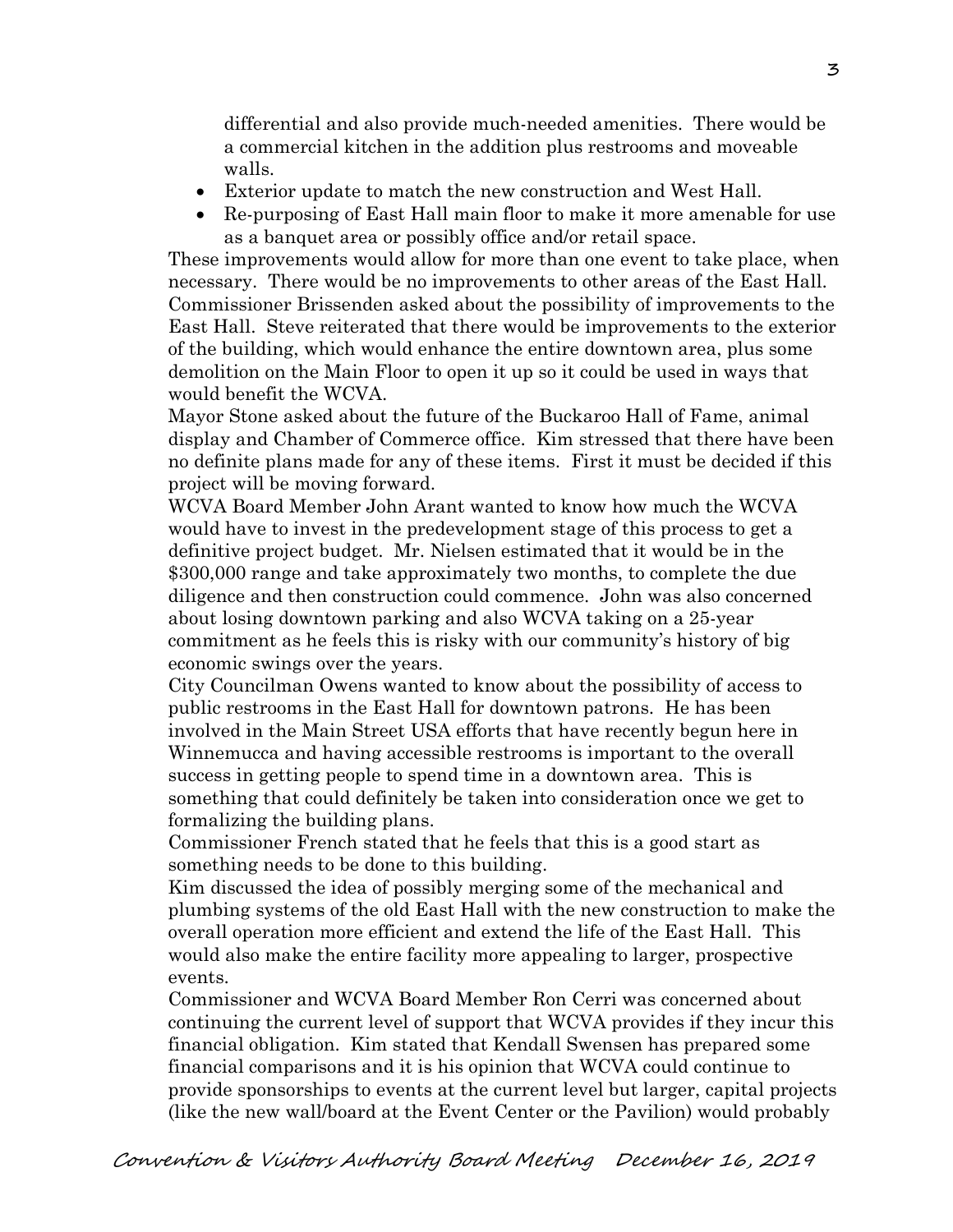differential and also provide much-needed amenities. There would be a commercial kitchen in the addition plus restrooms and moveable walls.

- Exterior update to match the new construction and West Hall.
- Re-purposing of East Hall main floor to make it more amenable for use as a banquet area or possibly office and/or retail space.

These improvements would allow for more than one event to take place, when necessary. There would be no improvements to other areas of the East Hall. Commissioner Brissenden asked about the possibility of improvements to the East Hall. Steve reiterated that there would be improvements to the exterior of the building, which would enhance the entire downtown area, plus some demolition on the Main Floor to open it up so it could be used in ways that would benefit the WCVA.

Mayor Stone asked about the future of the Buckaroo Hall of Fame, animal display and Chamber of Commerce office. Kim stressed that there have been no definite plans made for any of these items. First it must be decided if this project will be moving forward.

WCVA Board Member John Arant wanted to know how much the WCVA would have to invest in the predevelopment stage of this process to get a definitive project budget. Mr. Nielsen estimated that it would be in the \$300,000 range and take approximately two months, to complete the due diligence and then construction could commence. John was also concerned about losing downtown parking and also WCVA taking on a 25-year commitment as he feels this is risky with our community's history of big economic swings over the years.

City Councilman Owens wanted to know about the possibility of access to public restrooms in the East Hall for downtown patrons. He has been involved in the Main Street USA efforts that have recently begun here in Winnemucca and having accessible restrooms is important to the overall success in getting people to spend time in a downtown area. This is something that could definitely be taken into consideration once we get to formalizing the building plans.

Commissioner French stated that he feels that this is a good start as something needs to be done to this building.

Kim discussed the idea of possibly merging some of the mechanical and plumbing systems of the old East Hall with the new construction to make the overall operation more efficient and extend the life of the East Hall. This would also make the entire facility more appealing to larger, prospective events.

Commissioner and WCVA Board Member Ron Cerri was concerned about continuing the current level of support that WCVA provides if they incur this financial obligation. Kim stated that Kendall Swensen has prepared some financial comparisons and it is his opinion that WCVA could continue to provide sponsorships to events at the current level but larger, capital projects (like the new wall/board at the Event Center or the Pavilion) would probably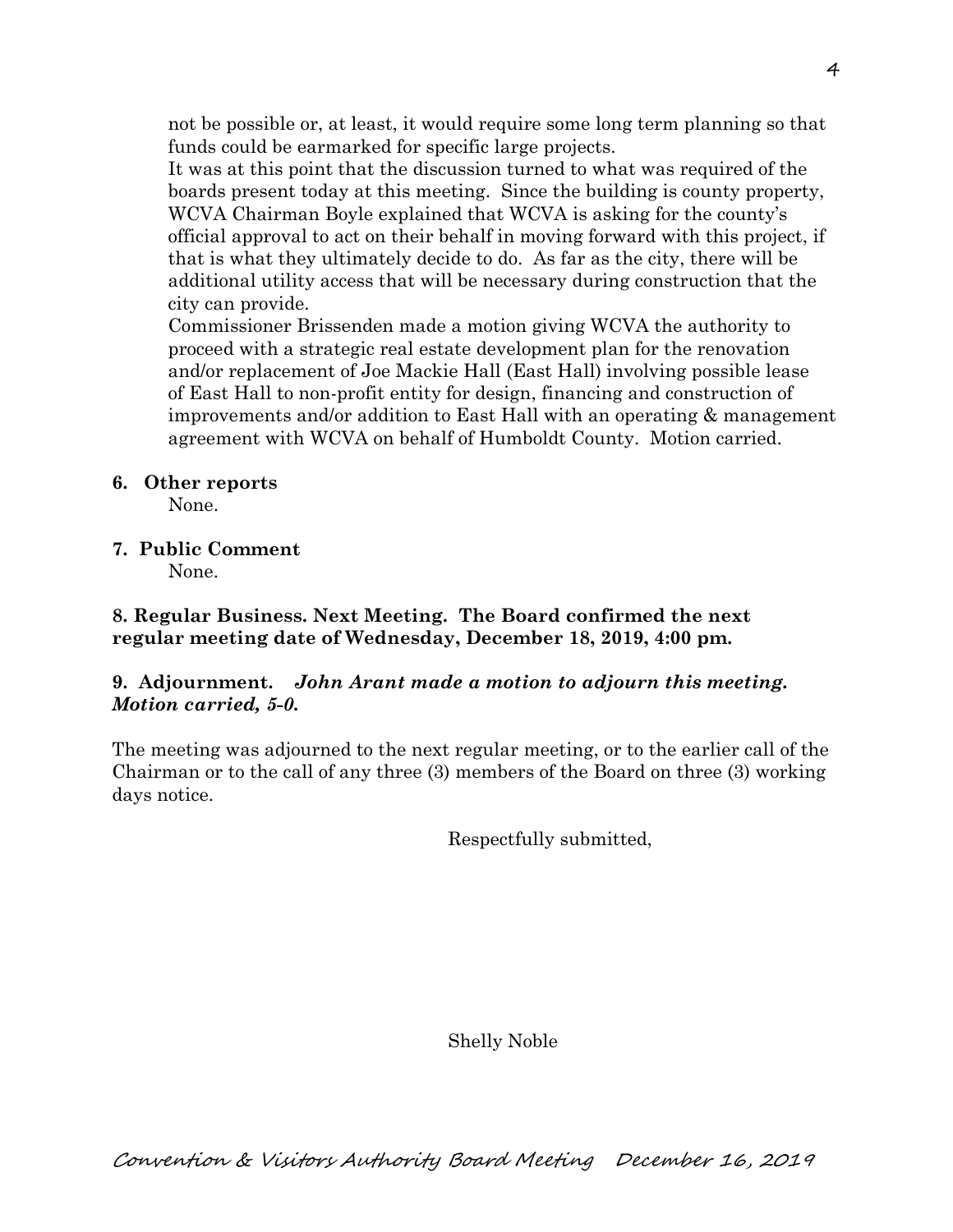not be possible or, at least, it would require some long term planning so that funds could be earmarked for specific large projects.

It was at this point that the discussion turned to what was required of the boards present today at this meeting. Since the building is county property, WCVA Chairman Boyle explained that WCVA is asking for the county's official approval to act on their behalf in moving forward with this project, if that is what they ultimately decide to do. As far as the city, there will be additional utility access that will be necessary during construction that the city can provide.

Commissioner Brissenden made a motion giving WCVA the authority to proceed with a strategic real estate development plan for the renovation and/or replacement of Joe Mackie Hall (East Hall) involving possible lease of East Hall to non-profit entity for design, financing and construction of improvements and/or addition to East Hall with an operating  $\&$  management agreement with WCVA on behalf of Humboldt County. Motion carried.

### **6. Other reports**

None.

**7. Public Comment**

None.

**8. Regular Business. Next Meeting. The Board confirmed the next regular meeting date of Wednesday, December 18, 2019, 4:00 pm.** 

# **9. Adjournment.** *John Arant made a motion to adjourn this meeting. Motion carried, 5-0.*

The meeting was adjourned to the next regular meeting, or to the earlier call of the Chairman or to the call of any three (3) members of the Board on three (3) working days notice.

Respectfully submitted,

Shelly Noble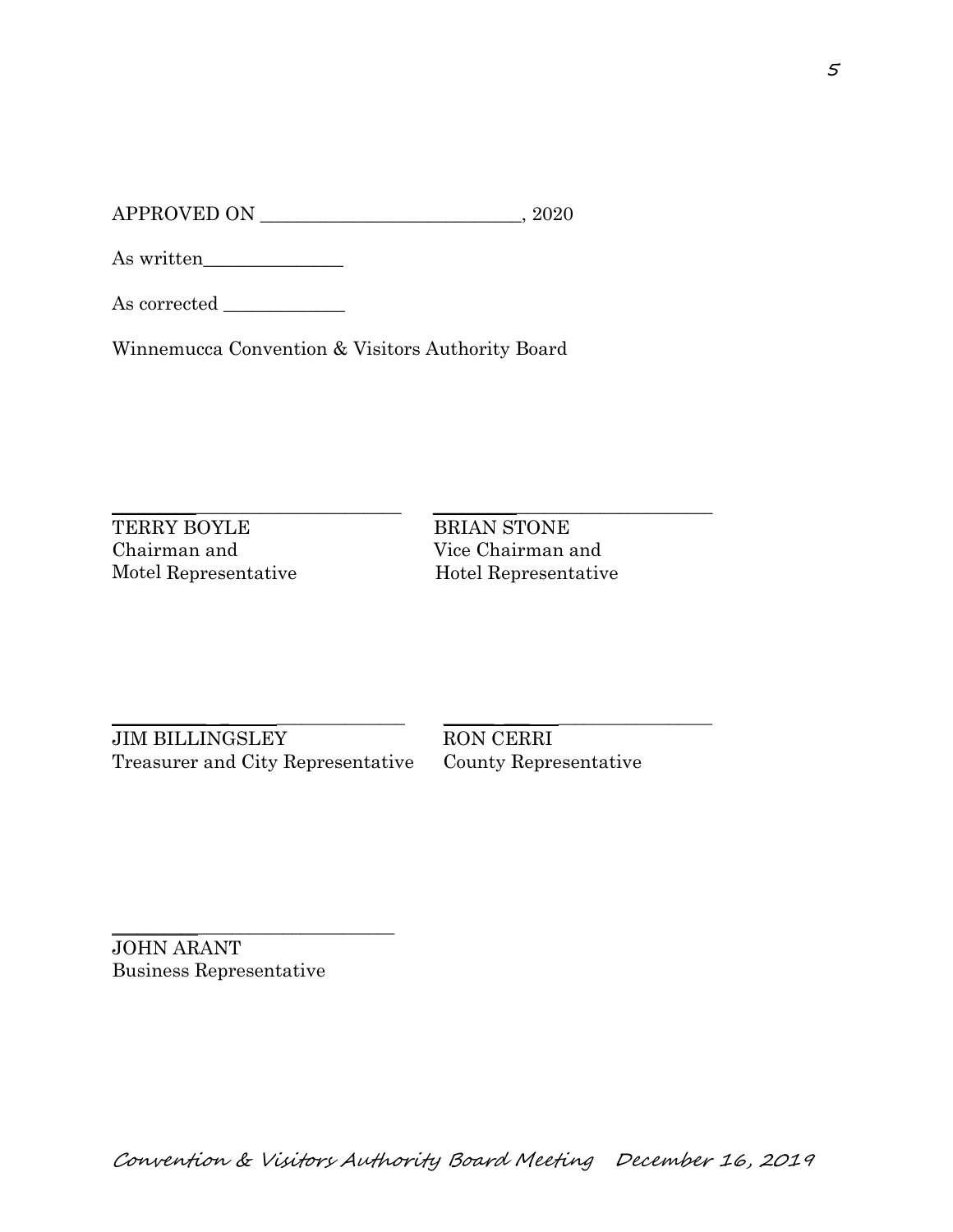APPROVED ON \_\_\_\_\_\_\_\_\_\_\_\_\_\_\_\_\_\_\_\_\_\_\_\_\_\_\_\_, 2020

As written\_\_\_\_\_\_\_\_\_\_\_\_\_\_\_

As corrected \_\_\_\_\_\_\_\_\_\_\_\_\_

Winnemucca Convention & Visitors Authority Board

\_\_\_\_\_\_\_\_\_\_\_\_\_\_\_\_\_\_\_\_\_\_\_\_\_\_\_\_\_\_\_ \_\_\_\_\_\_\_\_\_\_\_\_\_\_\_\_\_\_\_\_\_\_\_\_\_\_\_\_\_\_

TERRY BOYLE BRIAN STONE Chairman and Vice Chairman and Motel Representative Hotel Representative

\_\_\_\_\_\_\_\_\_\_\_ \_ \_\_\_\_\_\_\_\_\_\_\_\_\_\_\_ \_\_\_\_\_\_ \_\_\_ \_\_\_\_\_\_\_\_\_\_\_\_\_\_\_\_\_\_ JIM BILLINGSLEY RON CERRI Treasurer and City Representative County Representative

\_\_\_\_\_\_\_\_\_\_\_\_\_\_\_\_\_\_\_\_\_\_\_\_\_\_\_\_\_\_\_\_\_ JOHN ARANT Business Representative